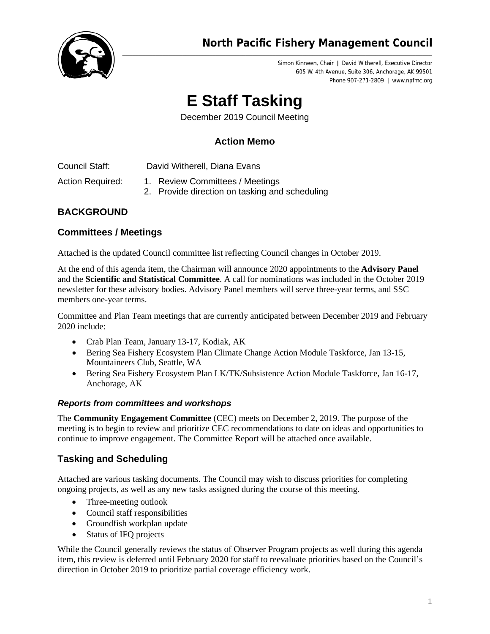

# **North Pacific Fishery Management Council**

Simon Kinneen, Chair | David Witherell, Executive Director 605 W. 4th Avenue, Suite 306, Anchorage, AK 99501 Phone 907-271-2809 | www.npfmc.org

# **E Staff Tasking**

December 2019 Council Meeting

# **Action Memo**

Council Staff: David Witherell, Diana Evans

- Action Required: 1. Review Committees / Meetings
	- 2. Provide direction on tasking and scheduling

# **BACKGROUND**

## **Committees / Meetings**

Attached is the updated Council committee list reflecting Council changes in October 2019.

At the end of this agenda item, the Chairman will announce 2020 appointments to the **Advisory Panel** and the **Scientific and Statistical Committee**. A call for nominations was included in the October 2019 newsletter for these advisory bodies. Advisory Panel members will serve three-year terms, and SSC members one-year terms.

Committee and Plan Team meetings that are currently anticipated between December 2019 and February 2020 include:

- Crab Plan Team, January 13-17, Kodiak, AK
- Bering Sea Fishery Ecosystem Plan Climate Change Action Module Taskforce, Jan 13-15, Mountaineers Club, Seattle, WA
- Bering Sea Fishery Ecosystem Plan LK/TK/Subsistence Action Module Taskforce, Jan 16-17, Anchorage, AK

#### *Reports from committees and workshops*

The **Community Engagement Committee** (CEC) meets on December 2, 2019. The purpose of the meeting is to begin to review and prioritize CEC recommendations to date on ideas and opportunities to continue to improve engagement. The Committee Report will be attached once available.

### **Tasking and Scheduling**

Attached are various tasking documents. The Council may wish to discuss priorities for completing ongoing projects, as well as any new tasks assigned during the course of this meeting.

- Three-meeting outlook
- Council staff responsibilities
- Groundfish workplan update
- Status of IFQ projects

While the Council generally reviews the status of Observer Program projects as well during this agenda item, this review is deferred until February 2020 for staff to reevaluate priorities based on the Council's direction in October 2019 to prioritize partial coverage efficiency work.